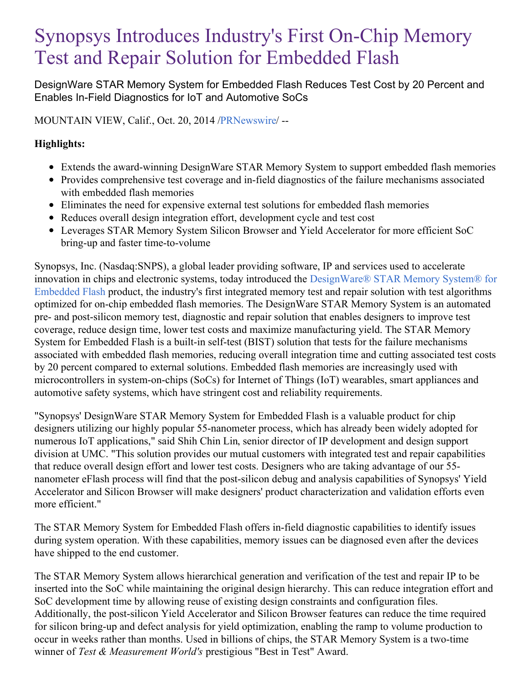# Synopsys Introduces Industry's First On-Chip Memory Test and Repair Solution for Embedded Flash

DesignWare STAR Memory System for Embedded Flash Reduces Test Cost by 20 Percent and Enables In-Field Diagnostics for IoT and Automotive SoCs

MOUNTAIN VIEW, Calif., Oct. 20, 2014 [/PRNewswire](http://www.prnewswire.com/)/ --

# **Highlights:**

- Extends the award-winning DesignWare STAR Memory System to support embedded flash memories
- Provides comprehensive test coverage and in-field diagnostics of the failure mechanisms associated with embedded flash memories
- Eliminates the need for expensive external test solutions for embedded flash memories
- Reduces overall design integration effort, development cycle and test cost
- Leverages STAR Memory System Silicon Browser and Yield Accelerator for more efficient SoC bring-up and faster time-to-volume

Synopsys, Inc. (Nasdaq:SNPS), a global leader providing software, IP and services used to accelerate innovation in chips and electronic systems, today introduced the [DesignWare®](http://www.synopsys.com/IP/SRAMandLibraries/TestandRepair/Pages/default.aspx) STAR Memory System® for Embedded Flash product, the industry's first integrated memory test and repair solution with test algorithms optimized for on-chip embedded flash memories. The DesignWare STAR Memory System is an automated pre- and post-silicon memory test, diagnostic and repair solution that enables designers to improve test coverage, reduce design time, lower test costs and maximize manufacturing yield. The STAR Memory System for Embedded Flash is a built-in self-test (BIST) solution that tests for the failure mechanisms associated with embedded flash memories, reducing overall integration time and cutting associated test costs by 20 percent compared to external solutions. Embedded flash memories are increasingly used with microcontrollers in system-on-chips (SoCs) for Internet of Things (IoT) wearables, smart appliances and automotive safety systems, which have stringent cost and reliability requirements.

"Synopsys' DesignWare STAR Memory System for Embedded Flash is a valuable product for chip designers utilizing our highly popular 55-nanometer process, which has already been widely adopted for numerous IoT applications," said Shih Chin Lin, senior director of IP development and design support division at UMC. "This solution provides our mutual customers with integrated test and repair capabilities that reduce overall design effort and lower test costs. Designers who are taking advantage of our 55 nanometer eFlash process will find that the post-silicon debug and analysis capabilities of Synopsys' Yield Accelerator and Silicon Browser will make designers' product characterization and validation efforts even more efficient."

The STAR Memory System for Embedded Flash offers in-field diagnostic capabilities to identify issues during system operation. With these capabilities, memory issues can be diagnosed even after the devices have shipped to the end customer.

The STAR Memory System allows hierarchical generation and verification of the test and repair IP to be inserted into the SoC while maintaining the original design hierarchy. This can reduce integration effort and SoC development time by allowing reuse of existing design constraints and configuration files. Additionally, the post-silicon Yield Accelerator and Silicon Browser features can reduce the time required for silicon bring-up and defect analysis for yield optimization, enabling the ramp to volume production to occur in weeks rather than months. Used in billions of chips, the STAR Memory System is a two-time winner of *Test & Measurement World's* prestigious "Best in Test" Award.